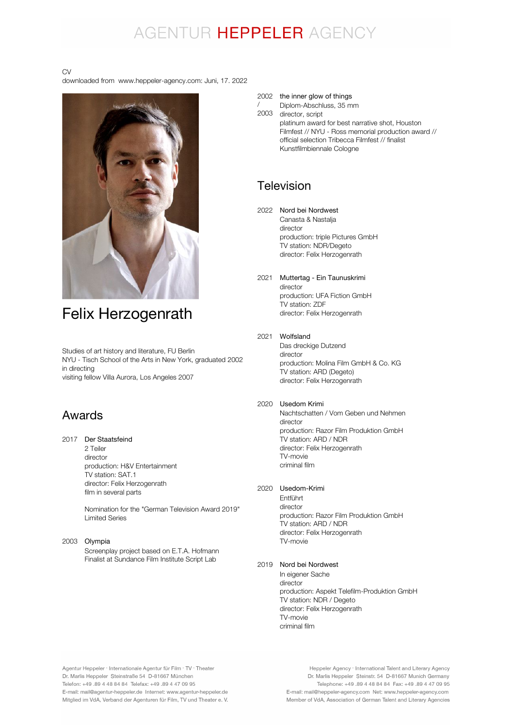# AGENTUR HEPPELER AGENCY

/

#### CV

downloaded from www.heppeler-agency.com: Juni, 17. 2022



# Felix Herzogenrath

Studies of art history and literature, FU Berlin NYU - Tisch School of the Arts in New York, graduated 2002 in directing visiting fellow Villa Aurora, Los Angeles 2007

# Awards

#### 2017 Der Staatsfeind 2 Teiler director

production: H&V Entertainment TV station: SAT.1 director: Felix Herzogenrath film in several parts

Nomination for the "German Television Award 2019" Limited Series

# 2003 Olympia

Screenplay project based on E.T.A. Hofmann Finalist at Sundance Film Institute Script Lab

# 2002 the inner glow of things

2003 Diplom-Abschluss, 35 mm director, script

platinum award for best narrative shot, Houston Filmfest // NYU - Ross memorial production award // official selection Tribecca Filmfest // finalist Kunstfilmbiennale Cologne

# Television

2022 Nord bei Nordwest Canasta & Nastalja

director production: triple Pictures GmbH TV station: NDR/Degeto director: Felix Herzogenrath

#### 2021 Muttertag - Ein Taunuskrimi director production: UFA Fiction GmbH TV station: ZDF director: Felix Herzogenrath

# 2021 Wolfsland

Das dreckige Dutzend director production: Molina Film GmbH & Co. KG TV station: ARD (Degeto) director: Felix Herzogenrath

# 2020 Usedom Krimi

Nachtschatten / Vom Geben und Nehmen director production: Razor Film Produktion GmbH TV station: ARD / NDR director: Felix Herzogenrath TV-movie criminal film

# 2020 Usedom-Krimi

Entführt director production: Razor Film Produktion GmbH TV station: ARD / NDR director: Felix Herzogenrath TV-movie

# 2019 Nord bei Nordwest

In eigener Sache director production: Aspekt Telefilm-Produktion GmbH TV station: NDR / Degeto director: Felix Herzogenrath TV-movie criminal film

Agentur Heppeler · Internationale Agentur für Film · TV · Theater Dr. Marlis Heppeler Steinstraße 54 D-81667 München Telefon: +49.89 4 48 84 84 Telefax: +49.89 4 47 09 95 E-mail: mail@agentur-heppeler.de Internet: www.agentur-heppeler.de Mitglied im VdA, Verband der Agenturen für Film, TV und Theater e. V.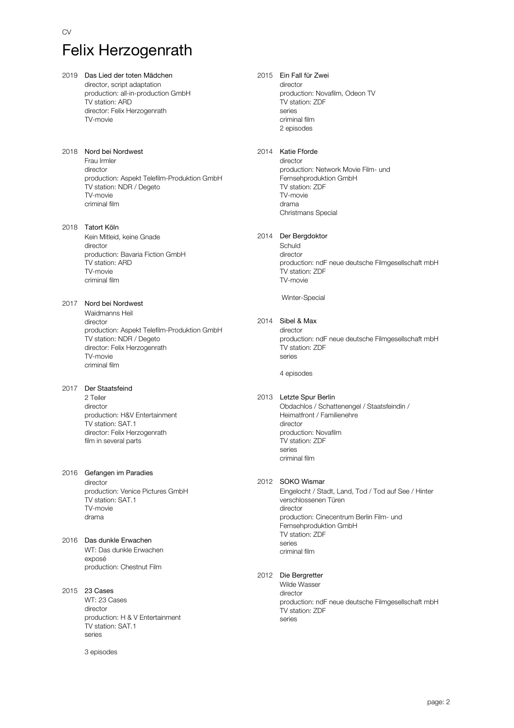# CV Felix Herzogenrath

2019 Das Lied der toten Mädchen director, script adaptation production: all-in-production GmbH TV station: ARD director: Felix Herzogenrath TV-movie 2018 Nord bei Nordwest Frau Irmler director production: Aspekt Telefilm-Produktion GmbH TV station: NDR / Degeto TV-movie criminal film 2018 Tatort Köln Kein Mitleid, keine Gnade director production: Bavaria Fiction GmbH TV station: ARD TV-movie criminal film 2017 Nord bei Nordwest Waidmanns Heil director production: Aspekt Telefilm-Produktion GmbH TV station: NDR / Degeto director: Felix Herzogenrath TV-movie criminal film 2017 Der Staatsfeind 2 Teiler director production: H&V Entertainment TV station: SAT.1 director: Felix Herzogenrath film in several parts 2016 Gefangen im Paradies director production: Venice Pictures GmbH TV station: SAT.1 TV-movie drama 2016 Das dunkle Erwachen WT: Das dunkle Erwachen exposé production: Chestnut Film 2015 23 Cases WT: 23 Cases director production: H & V Entertainment

TV station: SAT.1 series

3 episodes

#### 2015 Ein Fall für Zwei

director production: Novafilm, Odeon TV TV station: ZDF series criminal film 2 episodes

#### 2014 Katie Fforde

director production: Network Movie Film- und Fernsehproduktion GmbH TV station: ZDF TV-movie drama Christmans Special

#### 2014 Der Bergdoktor

Schuld director production: ndF neue deutsche Filmgesellschaft mbH TV station: ZDF TV-movie

Winter-Special

#### 2014 Sibel & Max

director production: ndF neue deutsche Filmgesellschaft mbH TV station: ZDF series

4 episodes

#### 2013 Letzte Spur Berlin

Obdachlos / Schattenengel / Staatsfeindin / Heimatfront / Familienehre director production: Novafilm TV station: ZDF series criminal film

#### 2012 SOKO Wismar

Eingelocht / Stadt, Land, Tod / Tod auf See / Hinter verschlossenen Türen director production: Cinecentrum Berlin Film- und Fernsehproduktion GmbH TV station: ZDF series criminal film

#### 2012 Die Bergretter

Wilde Wasser director production: ndF neue deutsche Filmgesellschaft mbH TV station: ZDF series